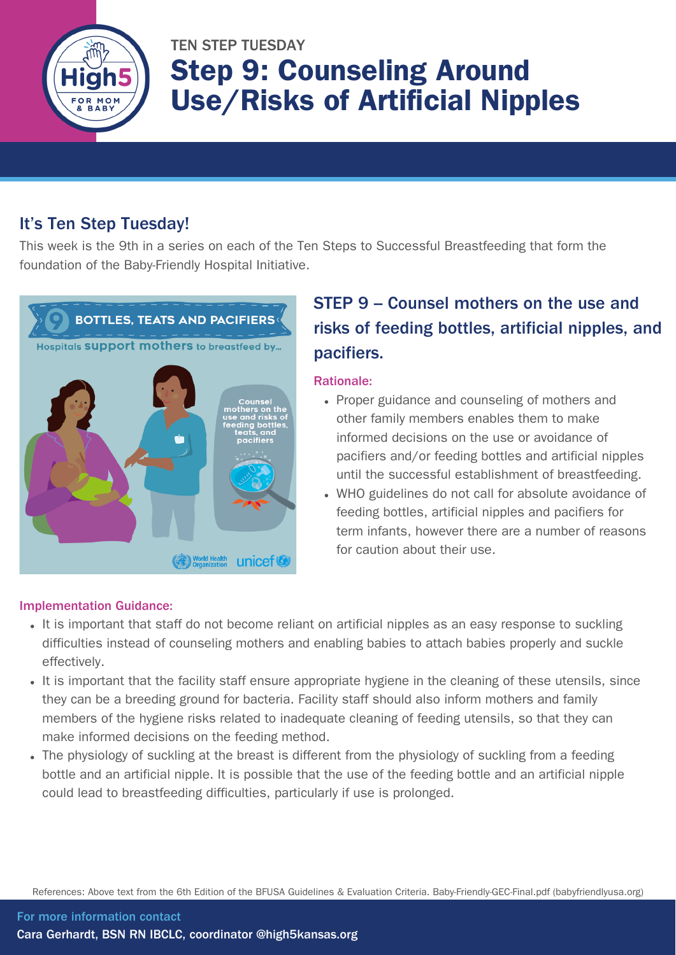

# TEN STEP TUESDAY Step 9: Counseling Around Use/Risks of Artificial Nipples

### It's Ten Step Tuesday!

This week is the 9th in a series on each of the Ten Steps to Successful Breastfeeding that form the foundation of the Baby-Friendly Hospital Initiative.



### STEP 9 – Counsel mothers on the use and risks of feeding bottles, artificial nipples, and pacifiers.

#### Rationale:

- Proper guidance and counseling of mothers and other family members enables them to make informed decisions on the use or avoidance of pacifiers and/or feeding bottles and artificial nipples until the successful establishment of breastfeeding.
- WHO guidelines do not call for absolute avoidance of feeding bottles, artificial nipples and pacifiers for term infants, however there are a number of reasons for caution about their use.

#### Implementation Guidance:

- It is important that staff do not become reliant on artificial nipples as an easy response to suckling difficulties instead of counseling mothers and enabling babies to attach babies properly and suckle effectively.
- It is important that the facility staff ensure appropriate hygiene in the cleaning of these utensils, since they can be a breeding ground for bacteria. Facility staff should also inform mothers and family members of the hygiene risks related to inadequate cleaning of feeding utensils, so that they can make informed decisions on the feeding method.
- The physiology of suckling at the breast is different from the physiology of suckling from a feeding bottle and an artificial nipple. It is possible that the use of the feeding bottle and an artificial nipple could lead to breastfeeding difficulties, particularly if use is prolonged.